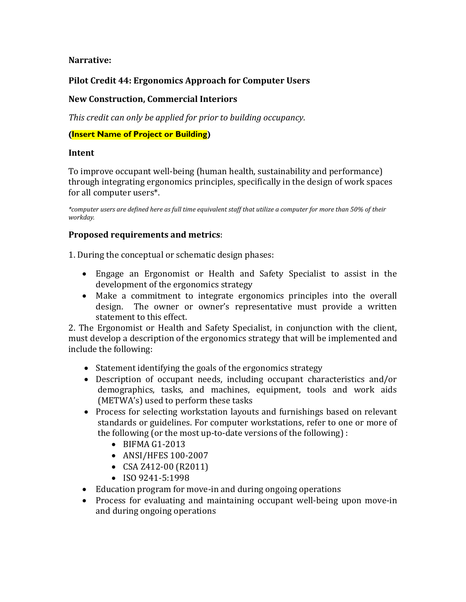## **Narrative:**

# **Pilot Credit 44: Ergonomics Approach for Computer Users**

# **New Construction, Commercial Interiors**

*This credit can only be applied for prior to building occupancy.*

### **(Insert Name of Project or Building)**

#### **Intent**

To improve occupant well-being (human health, sustainability and performance) through integrating ergonomics principles, specifically in the design of work spaces for all computer users\*.

*\*computer users are defined here as full time equivalent staff that utilize a computer for more than 50% of their workday.* 

## **Proposed requirements and metrics**:

1. During the conceptual or schematic design phases:

- Engage an Ergonomist or Health and Safety Specialist to assist in the development of the ergonomics strategy
- Make a commitment to integrate ergonomics principles into the overall design. The owner or owner's representative must provide a written statement to this effect.

2. The Ergonomist or Health and Safety Specialist, in conjunction with the client, must develop a description of the ergonomics strategy that will be implemented and include the following:

- Statement identifying the goals of the ergonomics strategy
- Description of occupant needs, including occupant characteristics and/or demographics, tasks, and machines, equipment, tools and work aids (METWA's) used to perform these tasks
- Process for selecting workstation layouts and furnishings based on relevant standards or guidelines. For computer workstations, refer to one or more of the following (or the most up-to-date versions of the following) :
	- BIFMA G1-2013
	- ANSI/HFES 100-2007
	- CSA Z412-00 (R2011)
	- $\bullet$  ISO 9241-5:1998
- Education program for move-in and during ongoing operations
- Process for evaluating and maintaining occupant well-being upon move-in and during ongoing operations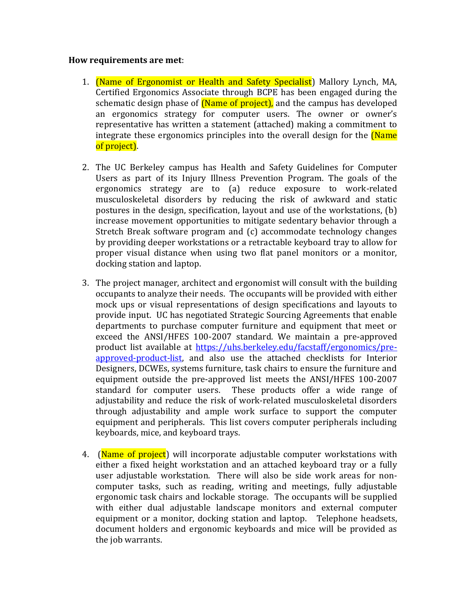#### **How requirements are met**:

- 1. (Name of Ergonomist or Health and Safety Specialist) Mallory Lynch, MA, Certified Ergonomics Associate through BCPE has been engaged during the schematic design phase of **(Name of project)**, and the campus has developed an ergonomics strategy for computer users. The owner or owner's representative has written a statement (attached) making a commitment to integrate these ergonomics principles into the overall design for the **(Name**) of project).
- 2. The UC Berkeley campus has Health and Safety Guidelines for Computer Users as part of its Injury Illness Prevention Program. The goals of the ergonomics strategy are to (a) reduce exposure to work-related musculoskeletal disorders by reducing the risk of awkward and static postures in the design, specification, layout and use of the workstations, (b) increase movement opportunities to mitigate sedentary behavior through a Stretch Break software program and (c) accommodate technology changes by providing deeper workstations or a retractable keyboard tray to allow for proper visual distance when using two flat panel monitors or a monitor, docking station and laptop.
- 3. The project manager, architect and ergonomist will consult with the building occupants to analyze their needs. The occupants will be provided with either mock ups or visual representations of design specifications and layouts to provide input. UC has negotiated Strategic Sourcing Agreements that enable departments to purchase computer furniture and equipment that meet or exceed the ANSI/HFES 100-2007 standard. We maintain a pre-approved product list available at [https://uhs.berkeley.edu/facstaff/ergonomics/pre](https://uhs.berkeley.edu/facstaff/ergonomics/pre-approved-product-list)[approved-product-list,](https://uhs.berkeley.edu/facstaff/ergonomics/pre-approved-product-list) and also use the attached checklists for Interior Designers, DCWEs, systems furniture, task chairs to ensure the furniture and equipment outside the pre-approved list meets the ANSI/HFES 100-2007 standard for computer users. These products offer a wide range of adjustability and reduce the risk of work-related musculoskeletal disorders through adjustability and ample work surface to support the computer equipment and peripherals. This list covers computer peripherals including keyboards, mice, and keyboard trays.
- 4. (Name of project) will incorporate adjustable computer workstations with either a fixed height workstation and an attached keyboard tray or a fully user adjustable workstation. There will also be side work areas for noncomputer tasks, such as reading, writing and meetings, fully adjustable ergonomic task chairs and lockable storage. The occupants will be supplied with either dual adjustable landscape monitors and external computer equipment or a monitor, docking station and laptop. Telephone headsets, document holders and ergonomic keyboards and mice will be provided as the job warrants.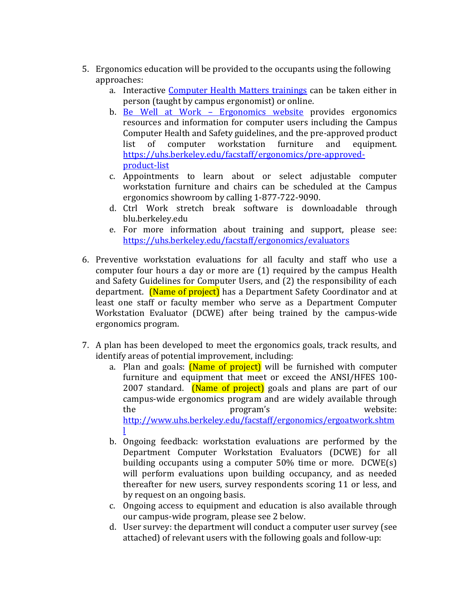- 5. Ergonomics education will be provided to the occupants using the following approaches:
	- a. Interactive [Computer Health Matters trainings](https://uhs.berkeley.edu/facstaff/ergonomics/classes-workshops) can be taken either in person (taught by campus ergonomist) or online.
	- b. Be Well at Work [Ergonomics website](https://uhs.berkeley.edu/bewellatwork/ergonomics) provides ergonomics resources and information for computer users including the Campus Computer Health and Safety guidelines, and the pre-approved product list of computer workstation furniture and equipment. [https://uhs.berkeley.edu/facstaff/ergonomics/pre-approved](https://uhs.berkeley.edu/facstaff/ergonomics/pre-approved-product-list)[product-list](https://uhs.berkeley.edu/facstaff/ergonomics/pre-approved-product-list)
	- c. Appointments to learn about or select adjustable computer workstation furniture and chairs can be scheduled at the Campus ergonomics showroom by calling 1-877-722-9090.
	- d. Ctrl Work stretch break software is downloadable through blu.berkeley.edu
	- e. For more information about training and support, please see: <https://uhs.berkeley.edu/facstaff/ergonomics/evaluators>
- 6. Preventive workstation evaluations for all faculty and staff who use a computer four hours a day or more are (1) required by the campus Health and Safety Guidelines for Computer Users, and (2) the responsibility of each department. **(Name of project)** has a Department Safety Coordinator and at least one staff or faculty member who serve as a Department Computer Workstation Evaluator (DCWE) after being trained by the campus-wide ergonomics program.
- 7. A plan has been developed to meet the ergonomics goals, track results, and identify areas of potential improvement, including:
	- a. Plan and goals: **(Name of project)** will be furnished with computer furniture and equipment that meet or exceed the ANSI/HFES 100- 2007 standard. **(Name of project)** goals and plans are part of our campus-wide ergonomics program and are widely available through the program's website: [http://www.uhs.berkeley.edu/facstaff/ergonomics/ergoatwork.shtm](http://www.uhs.berkeley.edu/facstaff/ergonomics/ergoatwork.shtml) [l](http://www.uhs.berkeley.edu/facstaff/ergonomics/ergoatwork.shtml)
	- b. Ongoing feedback: workstation evaluations are performed by the Department Computer Workstation Evaluators (DCWE) for all building occupants using a computer 50% time or more. DCWE(s) will perform evaluations upon building occupancy, and as needed thereafter for new users, survey respondents scoring 11 or less, and by request on an ongoing basis.
	- c. Ongoing access to equipment and education is also available through our campus-wide program, please see 2 below.
	- d. User survey: the department will conduct a computer user survey (see attached) of relevant users with the following goals and follow-up: